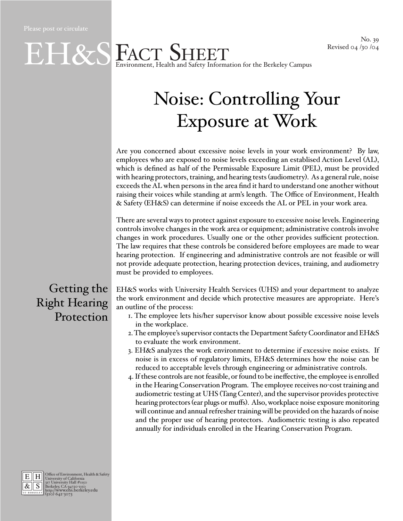

## Noise: Controlling Your Exposure at Work

Are you concerned about excessive noise levels in your work environment? By law, employees who are exposed to noise levels exceeding an establised Action Level (AL), which is defined as half of the Permissable Exposure Limit (PEL), must be provided with hearing protectors, training, and hearing tests (audiometry). As a general rule, noise exceeds the AL when persons in the area find it hard to understand one another without raising their voices while standing at arm's length. The Office of Environment, Health & Safety (EH&S) can determine if noise exceeds the AL or PEL in your work area.

There are several ways to protect against exposure to excessive noise levels. Engineering controls involve changes in the work area or equipment; administrative controls involve changes in work procedures. Usually one or the other provides sufficient protection. The law requires that these controls be considered before employees are made to wear hearing protection. If engineering and administrative controls are not feasible or will not provide adequate protection, hearing protection devices, training, and audiometry must be provided to employees.

Getting the Right Hearing Protection

EH&S works with University Health Services (UHS) and your department to analyze the work environment and decide which protective measures are appropriate. Here's an outline of the process:

- 1. The employee lets his/her supervisor know about possible excessive noise levels in the workplace.
- 2. The employee's supervisor contacts the Department Safety Coordinator and EH&S to evaluate the work environment.
- 3. EH&S analyzes the work environment to determine if excessive noise exists. If noise is in excess of regulatory limits, EH&S determines how the noise can be reduced to acceptable levels through engineering or administrative controls.
- 4. If these controls are not feasible, or found to be ineffective, the employee is enrolled in the Hearing Conservation Program. The employee receives no-cost training and audiometric testing at UHS (Tang Center), and the supervisor provides protective hearing protectors (ear plugs or muffs). Also, workplace noise exposure monitoring will continue and annual refresher training will be provided on the hazards of noise and the proper use of hearing protectors. Audiometric testing is also repeated annually for individuals enrolled in the Hearing Conservation Program.



E H Office of Environment, Health & Safety<br>  $\frac{R}{\mathcal{R}}$  S Berkeley, CA 94720-1150<br> **BERKELEY, CA 94720-1150**<br> **BERKELEY (510) 642-3073**<br>
(510) 642-3073